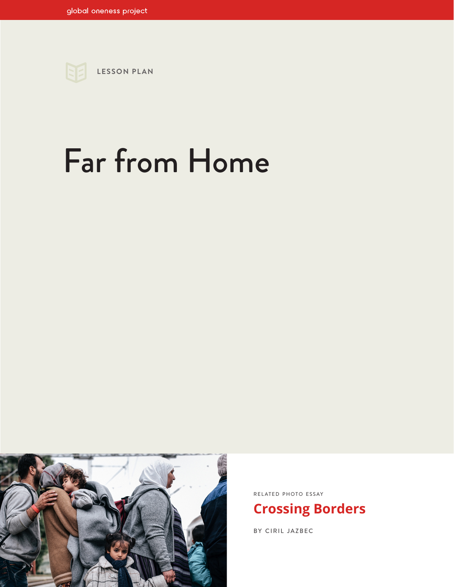

# Far from Home



RELATED PHOTO ESSAY

## **[Crossing Borders](https://www.globalonenessproject.org/library/photo-essays/crossing-borders)**

BY CIRIL JAZBEC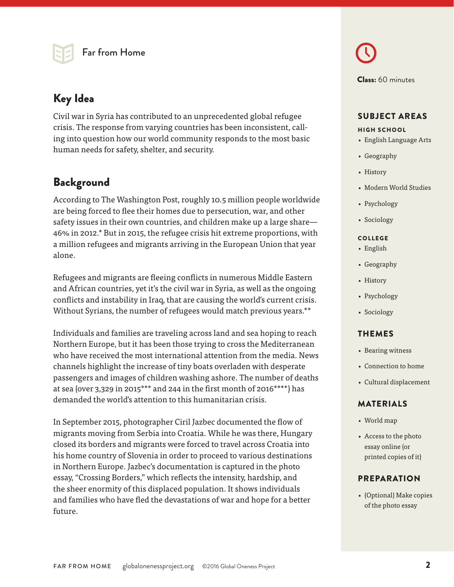

## Key Idea

Civil war in Syria has contributed to an unprecedented global refugee crisis. The response from varying countries has been inconsistent, calling into question how our world community responds to the most basic human needs for safety, shelter, and security.

## Background

According to The Washington Post, roughly 10.5 million people worldwide are being forced to flee their homes due to persecution, war, and other safety issues in their own countries, and children make up a large share— 46% in 2012.\* But in 2015, the refugee crisis hit extreme proportions, with a million refugees and migrants arriving in the European Union that year alone.

Refugees and migrants are fleeing conflicts in numerous Middle Eastern and African countries, yet it's the civil war in Syria, as well as the ongoing conflicts and instability in Iraq, that are causing the world's current crisis. Without Syrians, the number of refugees would match previous years.\*\*

Individuals and families are traveling across land and sea hoping to reach Northern Europe, but it has been those trying to cross the Mediterranean who have received the most international attention from the media. News channels highlight the increase of tiny boats overladen with desperate passengers and images of children washing ashore. The number of deaths at sea (over 3,329 in 2015\*\*\* and 244 in the first month of 2016\*\*\*\*) has demanded the world's attention to this humanitarian crisis.

In September 2015, photographer Ciril Jazbec documented the flow of migrants moving from Serbia into Croatia. While he was there, Hungary closed its borders and migrants were forced to travel across Croatia into his home country of Slovenia in order to proceed to various destinations in Northern Europe. Jazbec's documentation is captured in the photo essay, "Crossing Borders," which reflects the intensity, hardship, and the sheer enormity of this displaced population. It shows individuals and families who have fled the devastations of war and hope for a better future.

Class: 60 minutes

#### SUBJECT AREAS

#### HIGH SCHOOL

- English Language Arts
- Geography
- History
- Modern World Studies
- Psychology
- Sociology

#### COLLEGE

- English
- Geography
- History
- Psychology
- Sociology

#### THEMES

- Bearing witness
- Connection to home
- Cultural displacement

#### MATERIALS

- World map
- Access to the photo essay online (or printed copies of it)

#### **PREPARATION**

• (Optional) Make copies of the photo essay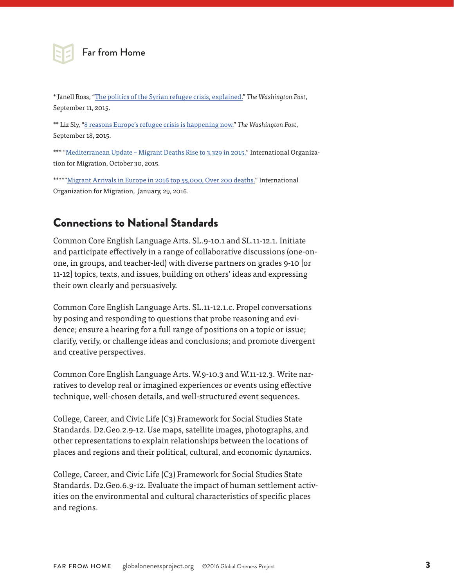

#### Far from Home

\* Janell Ross, ["The politics of the Syrian refugee crisis, explained."](https://www.washingtonpost.com/news/the-fix/wp/2015/09/11/the-politics-of-the-syrian-refugee-crisis-explained/) *The Washington Post*, September 11, 2015.

\*\* Liz Sly, "[8 reasons Europe's refugee crisis is happening now.](https://www.washingtonpost.com/news/worldviews/wp/2015/09/18/8-reasons-why-europes-refugee-crisis-is-happening-now/)" *The Washington Post*, September 18, 2015.

\*\*\* "[Mediterranean Update – Migrant Deaths Rise to 3,329 in 2015."](https://www.iom.int/news/mediterranean-update-migrant-deaths-rise-3329-2015) International Organization for Migration, October 30, 2015.

\*\*\*\*"[Migrant Arrivals in Europe in 2016 top 55,000, Over 200 deaths.](http://www.iom.int/news/migrant-arrivals-europe-2016-top-55000-over-200-deaths)" International Organization for Migration, January, 29, 2016.

## Connections to National Standards

Common Core English Language Arts. SL.9-10.1 and SL.11-12.1. Initiate and participate effectively in a range of collaborative discussions (one-onone, in groups, and teacher-led) with diverse partners on grades 9-10 [or 11-12] topics, texts, and issues, building on others' ideas and expressing their own clearly and persuasively.

Common Core English Language Arts. SL.11-12.1.c. Propel conversations by posing and responding to questions that probe reasoning and evidence; ensure a hearing for a full range of positions on a topic or issue; clarify, verify, or challenge ideas and conclusions; and promote divergent and creative perspectives.

Common Core English Language Arts. W.9-10.3 and W.11-12.3. Write narratives to develop real or imagined experiences or events using effective technique, well-chosen details, and well-structured event sequences.

College, Career, and Civic Life (C3) Framework for Social Studies State Standards. D2.Geo.2.9-12. Use maps, satellite images, photographs, and other representations to explain relationships between the locations of places and regions and their political, cultural, and economic dynamics.

College, Career, and Civic Life (C3) Framework for Social Studies State Standards. D2.Geo.6.9-12. Evaluate the impact of human settlement activities on the environmental and cultural characteristics of specific places and regions.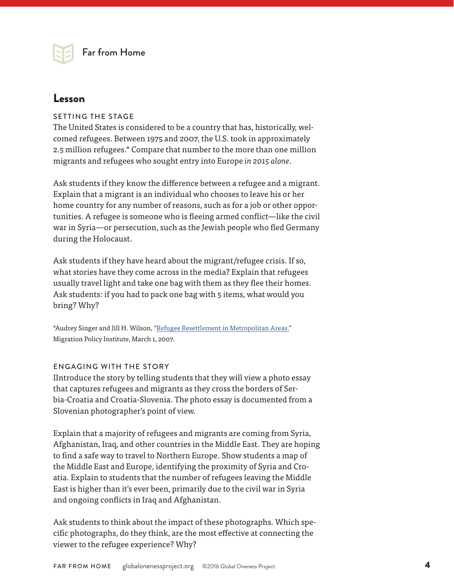### Lesson

#### SETTING THE STAGE

The United States is considered to be a country that has, historically, welcomed refugees. Between 1975 and 2007, the U.S. took in approximately 2.5 million refugees.\* Compare that number to the more than one million migrants and refugees who sought entry into Europe *in 2015 alone*.

Ask students if they know the difference between a refugee and a migrant. Explain that a migrant is an individual who chooses to leave his or her home country for any number of reasons, such as for a job or other opportunities. A refugee is someone who is fleeing armed conflict—like the civil war in Syria—or persecution, such as the Jewish people who fled Germany during the Holocaust.

Ask students if they have heard about the migrant/refugee crisis. If so, what stories have they come across in the media? Explain that refugees usually travel light and take one bag with them as they flee their homes. Ask students: if you had to pack one bag with 5 items, what would you bring? Why?

\*Audrey Singer and Jill H. Wilson, ["Refugee Resettlement in Metropolitan Areas."](http://www.migrationpolicy.org/article/refugee-resettlement-metropolitan-america/) Migration Policy Institute, March 1, 2007.

#### ENGAGING WITH THE STORY

IIntroduce the story by telling students that they will view a photo essay that captures refugees and migrants as they cross the borders of Serbia-Croatia and Croatia-Slovenia. The photo essay is documented from a Slovenian photographer's point of view.

Explain that a majority of refugees and migrants are coming from Syria, Afghanistan, Iraq, and other countries in the Middle East. They are hoping to find a safe way to travel to Northern Europe. Show students a map of the Middle East and Europe, identifying the proximity of Syria and Croatia. Explain to students that the number of refugees leaving the Middle East is higher than it's ever been, primarily due to the civil war in Syria and ongoing conflicts in Iraq and Afghanistan.

Ask students to think about the impact of these photographs. Which specific photographs, do they think, are the most effective at connecting the viewer to the refugee experience? Why?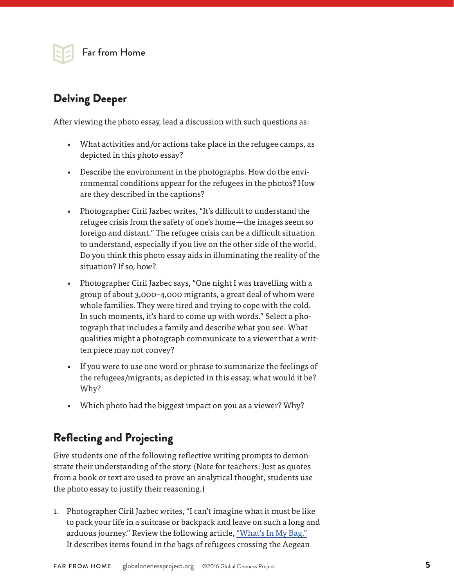

## Delving Deeper

After viewing the photo essay, lead a discussion with such questions as:

- What activities and/or actions take place in the refugee camps, as depicted in this photo essay?
- Describe the environment in the photographs. How do the environmental conditions appear for the refugees in the photos? How are they described in the captions?
- Photographer Ciril Jazbec writes, "It's difficult to understand the refugee crisis from the safety of one's home—the images seem so foreign and distant." The refugee crisis can be a difficult situation to understand, especially if you live on the other side of the world. Do you think this photo essay aids in illuminating the reality of the situation? If so, how?
- Photographer Ciril Jazbec says, "One night I was travelling with a group of about 3,000–4,000 migrants, a great deal of whom were whole families. They were tired and trying to cope with the cold. In such moments, it's hard to come up with words." Select a photograph that includes a family and describe what you see. What qualities might a photograph communicate to a viewer that a written piece may not convey?
- If you were to use one word or phrase to summarize the feelings of the refugees/migrants, as depicted in this essay, what would it be? Why?
- Which photo had the biggest impact on you as a viewer? Why?

## Reflecting and Projecting

Give students one of the following reflective writing prompts to demonstrate their understanding of the story. (Note for teachers: Just as quotes from a book or text are used to prove an analytical thought, students use the photo essay to justify their reasoning.)

1. Photographer Ciril Jazbec writes, "I can't imagine what it must be like to pack your life in a suitcase or backpack and leave on such a long and arduous journey." Review the following article, ["What's In My Bag."](https://medium.com/uprooted/what-s-in-my-bag-758d435f6e62#.3i9dfhyrx) It describes items found in the bags of refugees crossing the Aegean